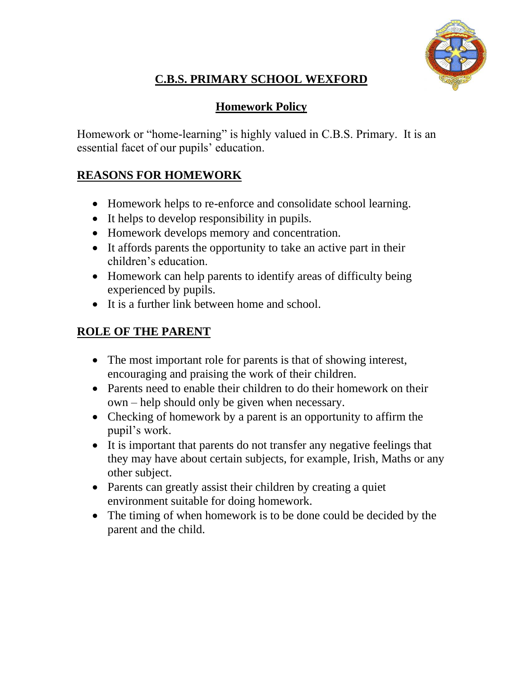

# **C.B.S. PRIMARY SCHOOL WEXFORD**

### **Homework Policy**

Homework or "home-learning" is highly valued in C.B.S. Primary. It is an essential facet of our pupils' education.

## **REASONS FOR HOMEWORK**

- Homework helps to re-enforce and consolidate school learning.
- It helps to develop responsibility in pupils.
- Homework develops memory and concentration.
- It affords parents the opportunity to take an active part in their children's education.
- Homework can help parents to identify areas of difficulty being experienced by pupils.
- It is a further link between home and school.

#### **ROLE OF THE PARENT**

- The most important role for parents is that of showing interest, encouraging and praising the work of their children.
- Parents need to enable their children to do their homework on their own – help should only be given when necessary.
- Checking of homework by a parent is an opportunity to affirm the pupil's work.
- It is important that parents do not transfer any negative feelings that they may have about certain subjects, for example, Irish, Maths or any other subject.
- Parents can greatly assist their children by creating a quiet environment suitable for doing homework.
- The timing of when homework is to be done could be decided by the parent and the child.